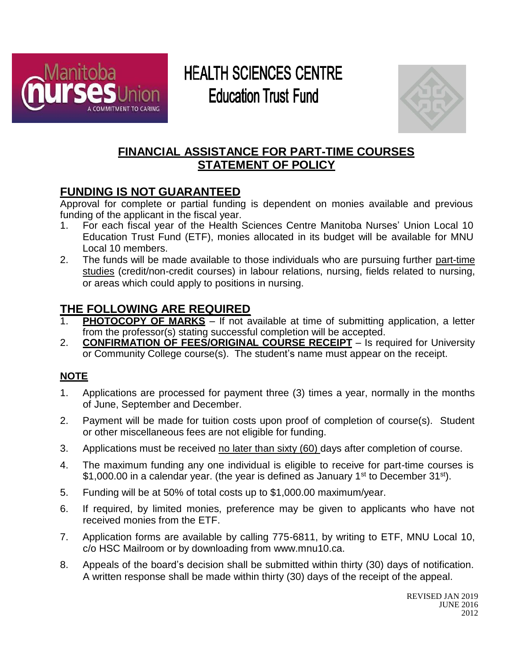

# **HEALTH SCIENCES CENTRE Education Trust Fund**



### **FINANCIAL ASSISTANCE FOR PART-TIME COURSES STATEMENT OF POLICY**

## **FUNDING IS NOT GUARANTEED**

Approval for complete or partial funding is dependent on monies available and previous funding of the applicant in the fiscal year.

- 1. For each fiscal year of the Health Sciences Centre Manitoba Nurses' Union Local 10 Education Trust Fund (ETF), monies allocated in its budget will be available for MNU Local 10 members.
- 2. The funds will be made available to those individuals who are pursuing further part-time studies (credit/non-credit courses) in labour relations, nursing, fields related to nursing, or areas which could apply to positions in nursing.

## **THE FOLLOWING ARE REQUIRED**

- 1. **PHOTOCOPY OF MARKS** If not available at time of submitting application, a letter from the professor(s) stating successful completion will be accepted.
- 2. **CONFIRMATION OF FEES/ORIGINAL COURSE RECEIPT** Is required for University or Community College course(s). The student's name must appear on the receipt.

#### **NOTE**

- 1. Applications are processed for payment three (3) times a year, normally in the months of June, September and December.
- 2. Payment will be made for tuition costs upon proof of completion of course(s). Student or other miscellaneous fees are not eligible for funding.
- 3. Applications must be received no later than sixty (60) days after completion of course.
- 4. The maximum funding any one individual is eligible to receive for part-time courses is \$1,000.00 in a calendar year. (the year is defined as January 1<sup>st</sup> to December 31<sup>st</sup>).
- 5. Funding will be at 50% of total costs up to \$1,000.00 maximum/year.
- 6. If required, by limited monies, preference may be given to applicants who have not received monies from the ETF.
- 7. Application forms are available by calling 775-6811, by writing to ETF, MNU Local 10, c/o HSC Mailroom or by downloading from [www.mnu10.ca.](http://www.mnu10.ca/)
- 8. Appeals of the board's decision shall be submitted within thirty (30) days of notification. A written response shall be made within thirty (30) days of the receipt of the appeal.